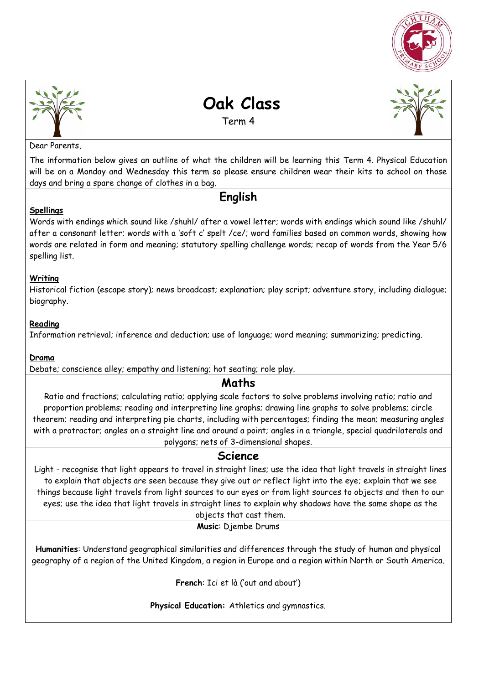



# **Oak Class**

Term 4

Dear Parents,

The information below gives an outline of what the children will be learning this Term 4. Physical Education will be on a Monday and Wednesday this term so please ensure children wear their kits to school on those days and bring a spare change of clothes in a bag.

## **English**

#### **Spellings**

Words with endings which sound like /shuhl/ after a vowel letter; words with endings which sound like /shuhl/ after a consonant letter; words with a 'soft c' spelt /ce/; word families based on common words, showing how words are related in form and meaning; statutory spelling challenge words; recap of words from the Year 5/6 spelling list.

#### **Writing**

Historical fiction (escape story); news broadcast; explanation; play script; adventure story, including dialogue; biography.

#### **Reading**

Information retrieval; inference and deduction; use of language; word meaning; summarizing; predicting.

#### **Drama**

Debate; conscience alley; empathy and listening; hot seating; role play.

## **Maths**

Ratio and fractions; calculating ratio; applying scale factors to solve problems involving ratio; ratio and proportion problems; reading and interpreting line graphs; drawing line graphs to solve problems; circle theorem; reading and interpreting pie charts, including with percentages; finding the mean; measuring angles with a protractor; angles on a straight line and around a point; angles in a triangle, special quadrilaterals and polygons; nets of 3-dimensional shapes.

#### **Science**

Light - recognise that light appears to travel in straight lines; use the idea that light travels in straight lines to explain that objects are seen because they give out or reflect light into the eye; explain that we see things because light travels from light sources to our eyes or from light sources to objects and then to our eyes; use the idea that light travels in straight lines to explain why shadows have the same shape as the

## objects that cast them.

**Music**: Djembe Drums

**Humanities**: Understand geographical similarities and differences through the study of human and physical geography of a region of the United Kingdom, a region in Europe and a region within North or South America.

**French**: Ici et là ('out and about')

**Physical Education:** Athletics and gymnastics.